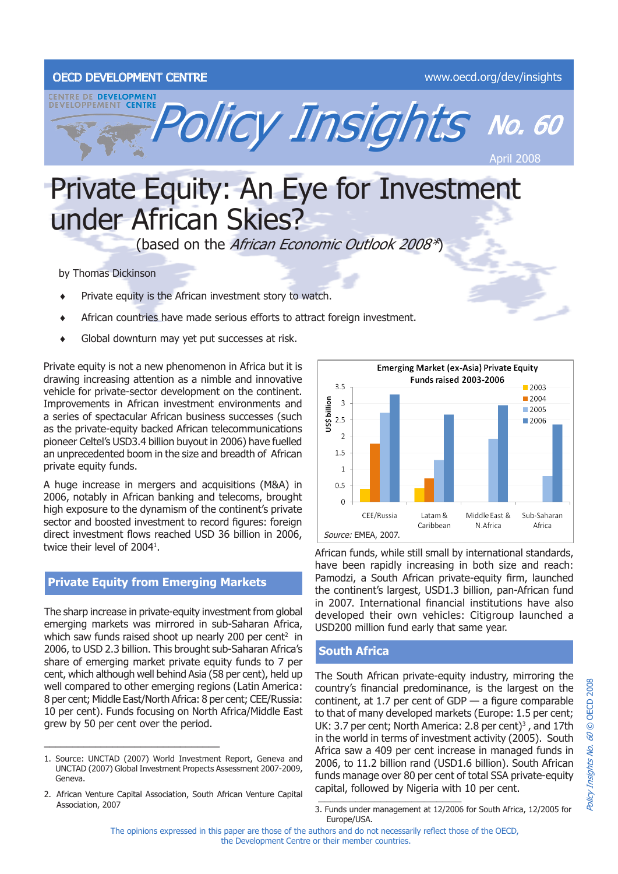### OECD DEVELOPMENT CENTRE WWW.oecd.org/dev/insights



# Private Equity: An Eye for Investment under African Skies?

(based on the African Economic Outlook 2008\*)

by Thomas Dickinson

- Private equity is the African investment story to watch. ♦
- African countries have made serious efforts to attract foreign investment. ♦
- Global downturn may yet put successes at risk. ♦

Private equity is not a new phenomenon in Africa but it is drawing increasing attention as a nimble and innovative vehicle for private-sector development on the continent. Improvements in African investment environments and a series of spectacular African business successes (such as the private-equity backed African telecommunications pioneer Celtel's USD3.4 billion buyout in 2006) have fuelled an unprecedented boom in the size and breadth of African private equity funds.

A huge increase in mergers and acquisitions (M&A) in 2006, notably in African banking and telecoms, brought high exposure to the dynamism of the continent's private sector and boosted investment to record figures: foreign direct investment flows reached USD 36 billion in 2006, twice their level of 2004<sup>1</sup>.

## **Private Equity from Emerging Markets**

The sharp increase in private-equity investment from global emerging markets was mirrored in sub-Saharan Africa, which saw funds raised shoot up nearly 200 per cent<sup>2</sup> in 2006, to USD 2.3 billion. This brought sub-Saharan Africa's share of emerging market private equity funds to 7 per cent, which although well behind Asia (58 per cent), held up well compared to other emerging regions (Latin America: 8 per cent; Middle East/North Africa: 8 per cent; CEE/Russia: 10 per cent). Funds focusing on North Africa/Middle East grew by 50 per cent over the period.

\_\_\_\_\_\_\_\_\_\_\_\_\_\_\_\_\_\_\_\_\_\_\_\_\_\_\_\_\_\_\_



African funds, while still small by international standards, have been rapidly increasing in both size and reach: Pamodzi, a South African private-equity firm, launched the continent's largest, USD1.3 billion, pan-African fund in 2007. International financial institutions have also developed their own vehicles: Citigroup launched a USD200 million fund early that same year.

## **South Africa**

The South African private-equity industry, mirroring the country's financial predominance, is the largest on the continent, at 1.7 per cent of  $GDP - a$  figure comparable to that of many developed markets (Europe: 1.5 per cent; UK: 3.7 per cent; North America: 2.8 per cent $3^3$ , and 17th in the world in terms of investment activity (2005). South Africa saw a 409 per cent increase in managed funds in 2006, to 11.2 billion rand (USD1.6 billion). South African funds manage over 80 per cent of total SSA private-equity capital, followed by Nigeria with 10 per cent.

<sup>1.</sup> Source: UNCTAD (2007) World Investment Report, Geneva and UNCTAD (2007) Global Investment Propects Assessment 2007-2009, Geneva.

<sup>2.</sup> African Venture Capital Association, South African Venture Capital Association, 2007

<sup>2008</sup> Policy Insights No. 60 © OECD 2008 OECD: Policy Insights No. 60 C

<sup>3.</sup> Funds under management at 12/2006 for South Africa, 12/2005 for Europe/USA.